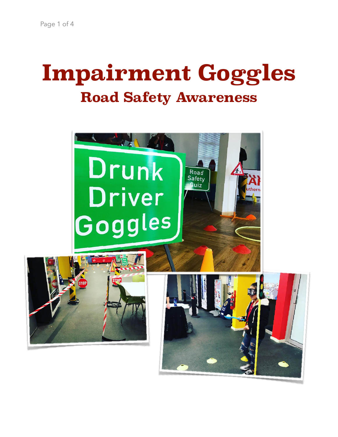# **Impairment Goggles Road Safety Awareness**

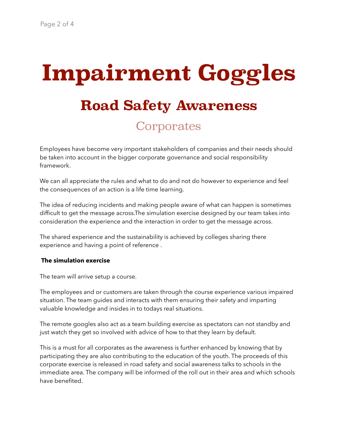# **Impairment Goggles Road Safety Awareness Corporates**

Employees have become very important stakeholders of companies and their needs should be taken into account in the bigger corporate governance and social responsibility framework.

We can all appreciate the rules and what to do and not do however to experience and feel the consequences of an action is a life time learning.

The idea of reducing incidents and making people aware of what can happen is sometimes difficult to get the message across.The simulation exercise designed by our team takes into consideration the experience and the interaction in order to get the message across.

The shared experience and the sustainability is achieved by colleges sharing there experience and having a point of reference .

# **The simulation exercise**

The team will arrive setup a course.

The employees and or customers are taken through the course experience various impaired situation. The team guides and interacts with them ensuring their safety and imparting valuable knowledge and insides in to todays real situations.

The remote googles also act as a team building exercise as spectators can not standby and just watch they get so involved with advice of how to that they learn by default.

This is a must for all corporates as the awareness is further enhanced by knowing that by participating they are also contributing to the education of the youth. The proceeds of this corporate exercise is released in road safety and social awareness talks to schools in the immediate area. The company will be informed of the roll out in their area and which schools have benefited.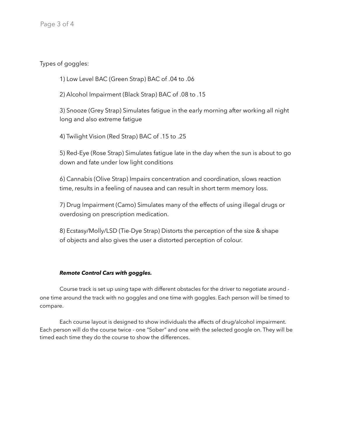Types of goggles:

1) Low Level BAC (Green Strap) BAC of .04 to .06

2) Alcohol Impairment (Black Strap) BAC of .08 to .15

3) Snooze (Grey Strap) Simulates fatigue in the early morning after working all night long and also extreme fatigue

4) Twilight Vision (Red Strap) BAC of .15 to .25

5) Red-Eye (Rose Strap) Simulates fatigue late in the day when the sun is about to go down and fate under low light conditions

6) Cannabis (Olive Strap) Impairs concentration and coordination, slows reaction time, results in a feeling of nausea and can result in short term memory loss.

7) Drug Impairment (Camo) Simulates many of the effects of using illegal drugs or overdosing on prescription medication.

8) Ecstasy/Molly/LSD (Tie-Dye Strap) Distorts the perception of the size & shape of objects and also gives the user a distorted perception of colour.

# *Remote Control Cars with goggles.*

Course track is set up using tape with different obstacles for the driver to negotiate around one time around the track with no goggles and one time with goggles. Each person will be timed to compare.

Each course layout is designed to show individuals the affects of drug/alcohol impairment. Each person will do the course twice - one "Sober" and one with the selected google on. They will be timed each time they do the course to show the differences.